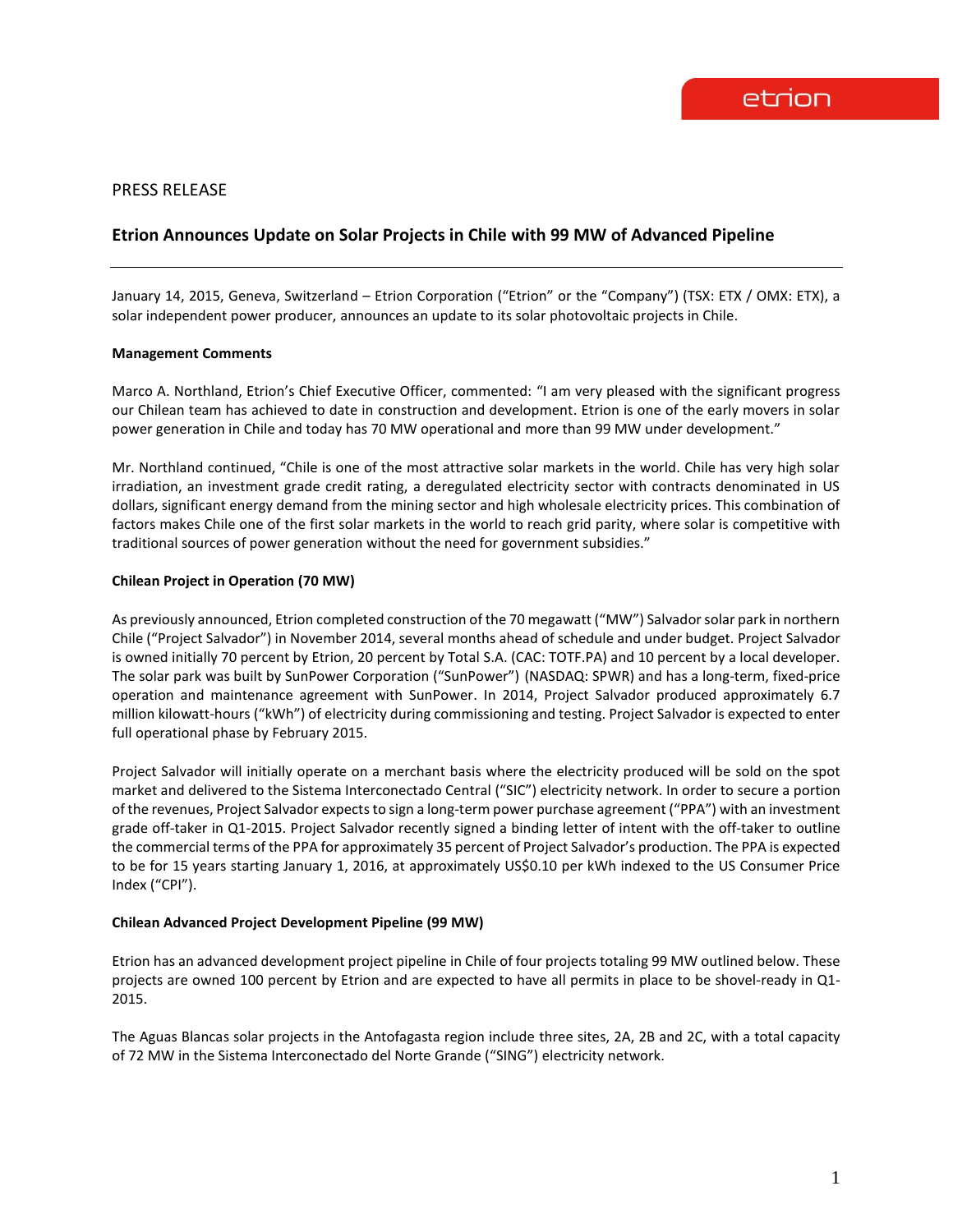# PRESS RELEASE

# **Etrion Announces Update on Solar Projects in Chile with 99 MW of Advanced Pipeline**

January 14, 2015, Geneva, Switzerland – Etrion Corporation ("Etrion" or the "Company") (TSX: ETX / OMX: ETX), a solar independent power producer, announces an update to its solar photovoltaic projects in Chile.

#### **Management Comments**

Marco A. Northland, Etrion's Chief Executive Officer, commented: "I am very pleased with the significant progress our Chilean team has achieved to date in construction and development. Etrion is one of the early movers in solar power generation in Chile and today has 70 MW operational and more than 99 MW under development."

Mr. Northland continued, "Chile is one of the most attractive solar markets in the world. Chile has very high solar irradiation, an investment grade credit rating, a deregulated electricity sector with contracts denominated in US dollars, significant energy demand from the mining sector and high wholesale electricity prices. This combination of factors makes Chile one of the first solar markets in the world to reach grid parity, where solar is competitive with traditional sources of power generation without the need for government subsidies."

### **Chilean Project in Operation (70 MW)**

As previously announced, Etrion completed construction of the 70 megawatt ("MW") Salvador solar park in northern Chile ("Project Salvador") in November 2014, several months ahead of schedule and under budget. Project Salvador is owned initially 70 percent by Etrion, 20 percent by Total S.A. (CAC: TOTF.PA) and 10 percent by a local developer. The solar park was built by SunPower Corporation ("SunPower") (NASDAQ: SPWR) and has a long-term, fixed‐price operation and maintenance agreement with SunPower. In 2014, Project Salvador produced approximately 6.7 million kilowatt-hours ("kWh") of electricity during commissioning and testing. Project Salvador is expected to enter full operational phase by February 2015.

Project Salvador will initially operate on a merchant basis where the electricity produced will be sold on the spot market and delivered to the Sistema Interconectado Central ("SIC") electricity network. In order to secure a portion of the revenues, Project Salvador expectsto sign a long-term power purchase agreement ("PPA") with an investment grade off-taker in Q1-2015. Project Salvador recently signed a binding letter of intent with the off-taker to outline the commercial terms of the PPA for approximately 35 percent of Project Salvador's production. The PPA is expected to be for 15 years starting January 1, 2016, at approximately US\$0.10 per kWh indexed to the US Consumer Price Index ("CPI").

## **Chilean Advanced Project Development Pipeline (99 MW)**

Etrion has an advanced development project pipeline in Chile of four projects totaling 99 MW outlined below. These projects are owned 100 percent by Etrion and are expected to have all permits in place to be shovel-ready in Q1- 2015.

The Aguas Blancas solar projects in the Antofagasta region include three sites, 2A, 2B and 2C, with a total capacity of 72 MW in the Sistema Interconectado del Norte Grande ("SING") electricity network.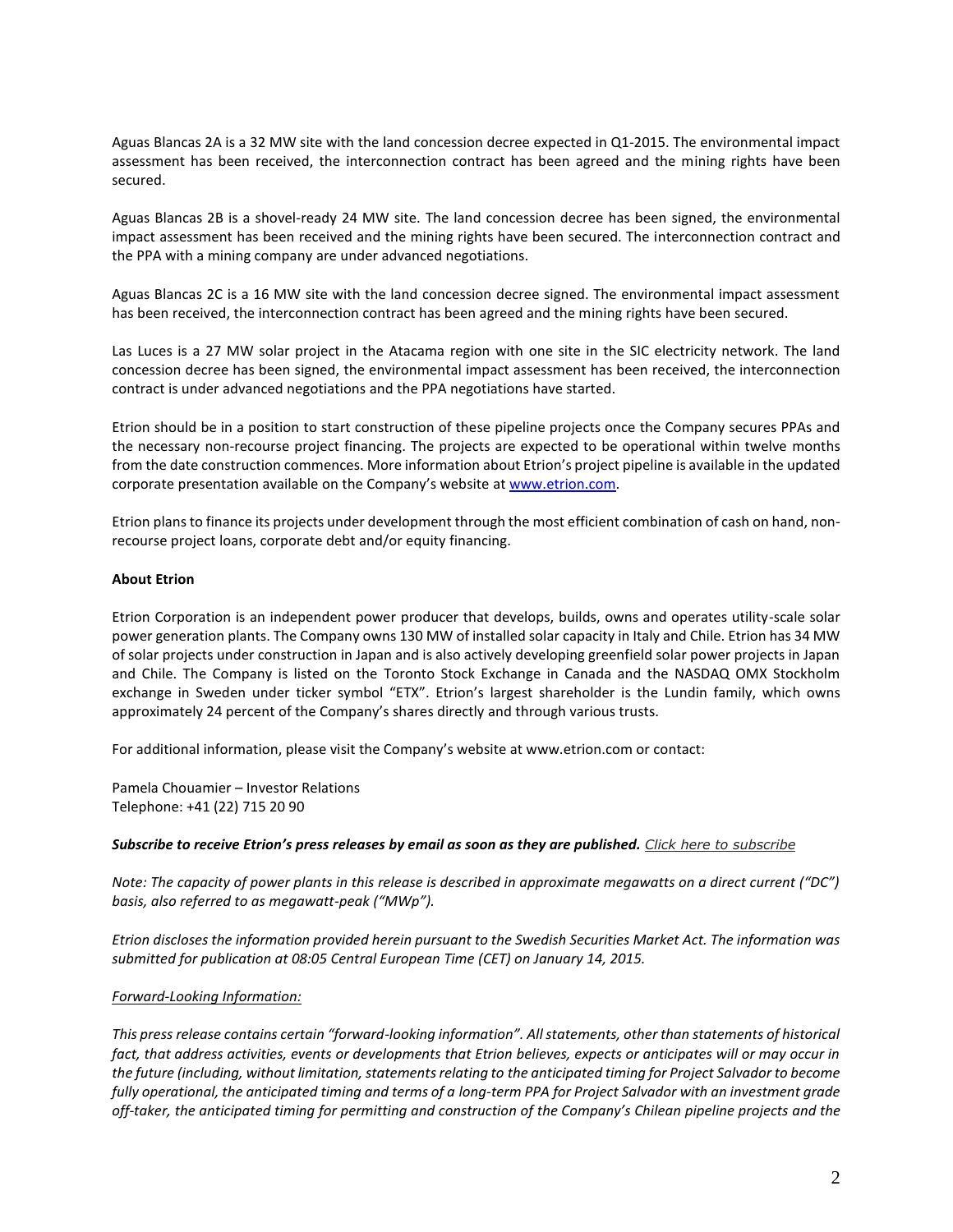Aguas Blancas 2A is a 32 MW site with the land concession decree expected in Q1-2015. The environmental impact assessment has been received, the interconnection contract has been agreed and the mining rights have been secured.

Aguas Blancas 2B is a shovel-ready 24 MW site. The land concession decree has been signed, the environmental impact assessment has been received and the mining rights have been secured. The interconnection contract and the PPA with a mining company are under advanced negotiations.

Aguas Blancas 2C is a 16 MW site with the land concession decree signed. The environmental impact assessment has been received, the interconnection contract has been agreed and the mining rights have been secured.

Las Luces is a 27 MW solar project in the Atacama region with one site in the SIC electricity network. The land concession decree has been signed, the environmental impact assessment has been received, the interconnection contract is under advanced negotiations and the PPA negotiations have started.

Etrion should be in a position to start construction of these pipeline projects once the Company secures PPAs and the necessary non-recourse project financing. The projects are expected to be operational within twelve months from the date construction commences. More information about Etrion's project pipeline is available in the updated corporate presentation available on the Company's website a[t www.etrion.com.](http://www.etrion.com/)

Etrion plans to finance its projects under development through the most efficient combination of cash on hand, nonrecourse project loans, corporate debt and/or equity financing.

### **About Etrion**

Etrion Corporation is an independent power producer that develops, builds, owns and operates utility-scale solar power generation plants. The Company owns 130 MW of installed solar capacity in Italy and Chile. Etrion has 34 MW of solar projects under construction in Japan and is also actively developing greenfield solar power projects in Japan and Chile. The Company is listed on the Toronto Stock Exchange in Canada and the NASDAQ OMX Stockholm exchange in Sweden under ticker symbol "ETX". Etrion's largest shareholder is the Lundin family, which owns approximately 24 percent of the Company's shares directly and through various trusts.

For additional information, please visit the Company's website at www.etrion.com or contact:

Pamela Chouamier – Investor Relations Telephone: +41 (22) 715 20 90

#### *Subscribe to receive Etrion's press releases by email as soon as they are published. [Click here to subscribe](http://www.etrion.com/press_release_subscribe.php)*

*Note: The capacity of power plants in this release is described in approximate megawatts on a direct current ("DC") basis, also referred to as megawatt-peak ("MWp").*

*Etrion discloses the information provided herein pursuant to the Swedish Securities Market Act. The information was submitted for publication at 08:05 Central European Time (CET) on January 14, 2015.*

## *Forward-Looking Information:*

*This press release contains certain "forward-looking information". All statements, other than statements of historical fact, that address activities, events or developments that Etrion believes, expects or anticipates will or may occur in the future (including, without limitation, statements relating to the anticipated timing for Project Salvador to become fully operational, the anticipated timing and terms of a long-term PPA for Project Salvador with an investment grade off-taker, the anticipated timing for permitting and construction of the Company's Chilean pipeline projects and the*